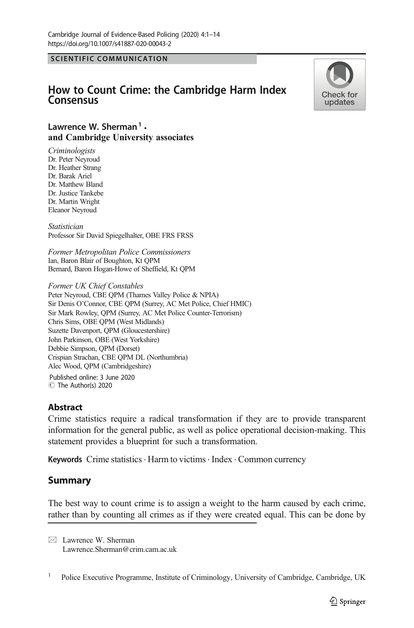SCIENTIFIC COMMUNICATION

# How to Count Crime: the Cambridge Harm Index Consensus



# Lawrence W. Sherman<sup>1</sup>. and Cambridge University associates

**Criminologists** Dr. Peter Neyroud Dr. Heather Strang Dr. Barak Ariel Dr. Matthew Bland Dr. Justice Tankebe Dr. Martin Wright Eleanor Neyroud

Statistician Professor Sir David Spiegelhalter, OBE FRS FRSS

Former Metropolitan Police Commissioners Ian, Baron Blair of Boughton, Kt QPM Bernard, Baron Hogan-Howe of Sheffield, Kt QPM

Former UK Chief Constables Peter Neyroud, CBE QPM (Thames Valley Police & NPIA) Sir Denis O'Connor, CBE QPM (Surrey, AC Met Police, Chief HMIC) Sir Mark Rowley, QPM (Surrey, AC Met Police Counter-Terrorism) Chris Sims, OBE QPM (West Midlands) Suzette Davenport, QPM (Gloucestershire) John Parkinson, OBE (West Yorkshire) Debbie Simpson, QPM (Dorset) Crispian Strachan, CBE QPM DL (Northumbria) Alec Wood, QPM (Cambridgeshire)

C The Author(s) 2020 Published online: 3 June 2020

## **Abstract**

Crime statistics require a radical transformation if they are to provide transparent information for the general public, as well as police operational decision-making. This statement provides a blueprint for such a transformation.

Keywords Crime statistics · Harm to victims · Index · Common currency

# Summary

The best way to count crime is to assign a weight to the harm caused by each crime, rather than by counting all crimes as if they were created equal. This can be done by

 $\boxtimes$  Lawrence W. Sherman [Lawrence.Sherman@crim.cam.ac.uk](mailto:Lawrence.Sherman@crim.cam.ac.uk)

<sup>&</sup>lt;sup>1</sup> Police Executive Programme, Institute of Criminology, University of Cambridge, Cambridge, UK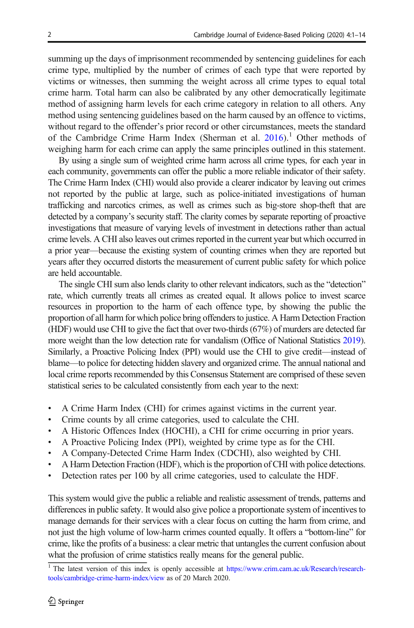summing up the days of imprisonment recommended by sentencing guidelines for each crime type, multiplied by the number of crimes of each type that were reported by victims or witnesses, then summing the weight across all crime types to equal total crime harm. Total harm can also be calibrated by any other democratically legitimate method of assigning harm levels for each crime category in relation to all others. Any method using sentencing guidelines based on the harm caused by an offence to victims, without regard to the offender's prior record or other circumstances, meets the standard of the Cambridge Crime Harm Index (Sherman et al.  $2016$ ).<sup>1</sup> Other methods of weighing harm for each crime can apply the same principles outlined in this statement.

By using a single sum of weighted crime harm across all crime types, for each year in each community, governments can offer the public a more reliable indicator of their safety. The Crime Harm Index (CHI) would also provide a clearer indicator by leaving out crimes not reported by the public at large, such as police-initiated investigations of human trafficking and narcotics crimes, as well as crimes such as big-store shop-theft that are detected by a company's security staff. The clarity comes by separate reporting of proactive investigations that measure of varying levels of investment in detections rather than actual crime levels. A CHI also leaves out crimes reported in the current year but which occurred in a prior year—because the existing system of counting crimes when they are reported but years after they occurred distorts the measurement of current public safety for which police are held accountable.

The single CHI sum also lends clarity to other relevant indicators, such as the "detection" rate, which currently treats all crimes as created equal. It allows police to invest scarce resources in proportion to the harm of each offence type, by showing the public the proportion of all harm for which police bring offenders to justice. A Harm Detection Fraction (HDF) would use CHI to give the fact that over two-thirds (67%) of murders are detected far more weight than the low detection rate for vandalism (Office of National Statistics [2019\)](#page-13-0). Similarly, a Proactive Policing Index (PPI) would use the CHI to give credit—instead of blame—to police for detecting hidden slavery and organized crime. The annual national and local crime reports recommended by this Consensus Statement are comprised of these seven statistical series to be calculated consistently from each year to the next:

- & A Crime Harm Index (CHI) for crimes against victims in the current year.
- & Crime counts by all crime categories, used to calculate the CHI.
- & A Historic Offences Index (HOCHI), a CHI for crime occurring in prior years.
- & A Proactive Policing Index (PPI), weighted by crime type as for the CHI.
- & A Company-Detected Crime Harm Index (CDCHI), also weighted by CHI.
- & A Harm Detection Fraction (HDF), which is the proportion of CHI with police detections.
- Detection rates per 100 by all crime categories, used to calculate the HDF.

This system would give the public a reliable and realistic assessment of trends, patterns and differences in public safety. It would also give police a proportionate system of incentives to manage demands for their services with a clear focus on cutting the harm from crime, and not just the high volume of low-harm crimes counted equally. It offers a "bottom-line" for crime, like the profits of a business: a clear metric that untangles the current confusion about what the profusion of crime statistics really means for the general public.

<sup>&</sup>lt;sup>1</sup> The latest version of this index is openly accessible at [https://www.crim.cam.ac.uk/Research/research](https://doi.org/http://creativecommons.org/licenses/by/4.0/)[tools/cambridge-crime-harm-index/view](https://doi.org/http://creativecommons.org/licenses/by/4.0/) as of 20 March 2020.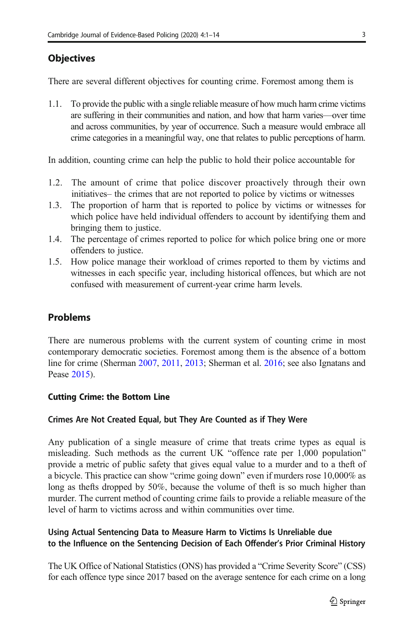# Objectives

There are several different objectives for counting crime. Foremost among them is

1.1. To provide the public with a single reliable measure of how much harm crime victims are suffering in their communities and nation, and how that harm varies—over time and across communities, by year of occurrence. Such a measure would embrace all crime categories in a meaningful way, one that relates to public perceptions of harm.

In addition, counting crime can help the public to hold their police accountable for

- 1.2. The amount of crime that police discover proactively through their own initiatives– the crimes that are not reported to police by victims or witnesses
- 1.3. The proportion of harm that is reported to police by victims or witnesses for which police have held individual offenders to account by identifying them and bringing them to justice.
- 1.4. The percentage of crimes reported to police for which police bring one or more offenders to justice.
- 1.5. How police manage their workload of crimes reported to them by victims and witnesses in each specific year, including historical offences, but which are not confused with measurement of current-year crime harm levels.

# **Problems**

There are numerous problems with the current system of counting crime in most contemporary democratic societies. Foremost among them is the absence of a bottom line for crime (Sherman [2007,](#page-13-0) [2011](#page-13-0), [2013](#page-13-0); Sherman et al. [2016](#page-13-0); see also Ignatans and Pease [2015\)](#page-13-0).

### Cutting Crime: the Bottom Line

## Crimes Are Not Created Equal, but They Are Counted as if They Were

Any publication of a single measure of crime that treats crime types as equal is misleading. Such methods as the current UK "offence rate per 1,000 population" provide a metric of public safety that gives equal value to a murder and to a theft of a bicycle. This practice can show "crime going down" even if murders rose 10,000% as long as thefts dropped by 50%, because the volume of theft is so much higher than murder. The current method of counting crime fails to provide a reliable measure of the level of harm to victims across and within communities over time.

# Using Actual Sentencing Data to Measure Harm to Victims Is Unreliable due to the Influence on the Sentencing Decision of Each Offender's Prior Criminal History

The UK Office of National Statistics (ONS) has provided a "Crime Severity Score" (CSS) for each offence type since 2017 based on the average sentence for each crime on a long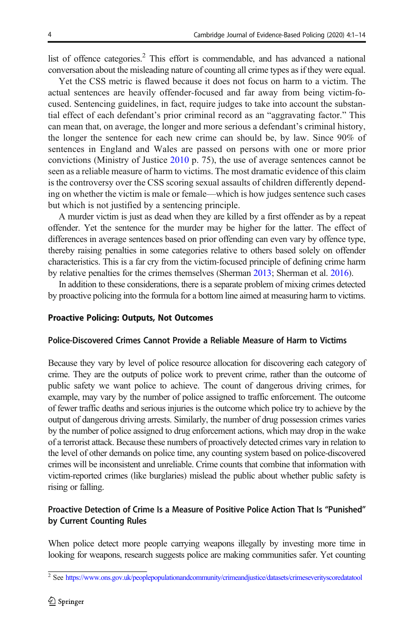<span id="page-3-0"></span>list of offence categories.<sup>2</sup> This effort is commendable, and has advanced a national conversation about the misleading nature of counting all crime types as if they were equal.

Yet the CSS metric is flawed because it does not focus on harm to a victim. The actual sentences are heavily offender-focused and far away from being victim-focused. Sentencing guidelines, in fact, require judges to take into account the substantial effect of each defendant's prior criminal record as an "aggravating factor." This can mean that, on average, the longer and more serious a defendant's criminal history, the longer the sentence for each new crime can should be, by law. Since 90% of sentences in England and Wales are passed on persons with one or more prior convictions (Ministry of Justice [2010](#page-13-0) p. 75), the use of average sentences cannot be seen as a reliable measure of harm to victims. The most dramatic evidence of this claim is the controversy over the CSS scoring sexual assaults of children differently depending on whether the victim is male or female—which is how judges sentence such cases but which is not justified by a sentencing principle.

A murder victim is just as dead when they are killed by a first offender as by a repeat offender. Yet the sentence for the murder may be higher for the latter. The effect of differences in average sentences based on prior offending can even vary by offence type, thereby raising penalties in some categories relative to others based solely on offender characteristics. This is a far cry from the victim-focused principle of defining crime harm by relative penalties for the crimes themselves (Sherman [2013](#page-13-0); Sherman et al. [2016](#page-13-0)).

In addition to these considerations, there is a separate problem of mixing crimes detected by proactive policing into the formula for a bottom line aimed at measuring harm to victims.

## Proactive Policing: Outputs, Not Outcomes

### Police-Discovered Crimes Cannot Provide a Reliable Measure of Harm to Victims

Because they vary by level of police resource allocation for discovering each category of crime. They are the outputs of police work to prevent crime, rather than the outcome of public safety we want police to achieve. The count of dangerous driving crimes, for example, may vary by the number of police assigned to traffic enforcement. The outcome of fewer traffic deaths and serious injuries is the outcome which police try to achieve by the output of dangerous driving arrests. Similarly, the number of drug possession crimes varies by the number of police assigned to drug enforcement actions, which may drop in the wake of a terrorist attack. Because these numbers of proactively detected crimes vary in relation to the level of other demands on police time, any counting system based on police-discovered crimes will be inconsistent and unreliable. Crime counts that combine that information with victim-reported crimes (like burglaries) mislead the public about whether public safety is rising or falling.

# Proactive Detection of Crime Is a Measure of Positive Police Action That Is "Punished" by Current Counting Rules

When police detect more people carrying weapons illegally by investing more time in looking for weapons, research suggests police are making communities safer. Yet counting

<sup>2</sup> See [https://www.ons.gov.uk/peoplepopulationandcommunity/crimeandjustice/datasets/crimeseverityscoredatatool](https://doi.org/http://creativecommons.org/licenses/by/4.0/)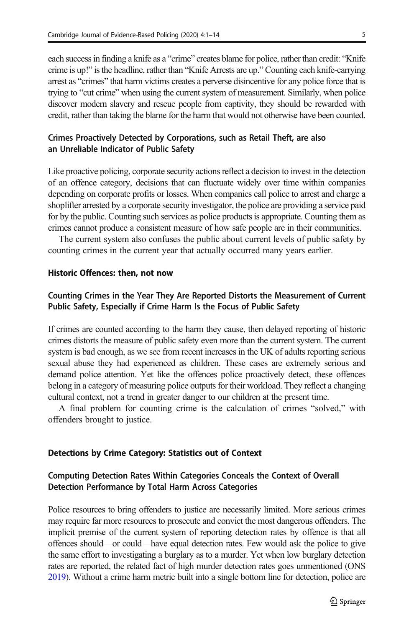<span id="page-4-0"></span>each success in finding a knife as a "crime" creates blame for police, rather than credit: "Knife crime is up!" is the headline, rather than "Knife Arrests are up." Counting each knife-carrying arrest as "crimes" that harm victims creates a perverse disincentive for any police force that is trying to "cut crime" when using the current system of measurement. Similarly, when police discover modern slavery and rescue people from captivity, they should be rewarded with credit, rather than taking the blame for the harm that would not otherwise have been counted.

## Crimes Proactively Detected by Corporations, such as Retail Theft, are also an Unreliable Indicator of Public Safety

Like proactive policing, corporate security actions reflect a decision to invest in the detection of an offence category, decisions that can fluctuate widely over time within companies depending on corporate profits or losses. When companies call police to arrest and charge a shoplifter arrested by a corporate security investigator, the police are providing a service paid for by the public. Counting such services as police products is appropriate. Counting them as crimes cannot produce a consistent measure of how safe people are in their communities.

The current system also confuses the public about current levels of public safety by counting crimes in the current year that actually occurred many years earlier.

# Historic Offences: then, not now

## Counting Crimes in the Year They Are Reported Distorts the Measurement of Current Public Safety, Especially if Crime Harm Is the Focus of Public Safety

If crimes are counted according to the harm they cause, then delayed reporting of historic crimes distorts the measure of public safety even more than the current system. The current system is bad enough, as we see from recent increases in the UK of adults reporting serious sexual abuse they had experienced as children. These cases are extremely serious and demand police attention. Yet like the offences police proactively detect, these offences belong in a category of measuring police outputs for their workload. They reflect a changing cultural context, not a trend in greater danger to our children at the present time.

A final problem for counting crime is the calculation of crimes "solved," with offenders brought to justice.

#### Detections by Crime Category: Statistics out of Context

## Computing Detection Rates Within Categories Conceals the Context of Overall Detection Performance by Total Harm Across Categories

Police resources to bring offenders to justice are necessarily limited. More serious crimes may require far more resources to prosecute and convict the most dangerous offenders. The implicit premise of the current system of reporting detection rates by offence is that all offences should—or could—have equal detection rates. Few would ask the police to give the same effort to investigating a burglary as to a murder. Yet when low burglary detection rates are reported, the related fact of high murder detection rates goes unmentioned (ONS [2019\)](#page-13-0). Without a crime harm metric built into a single bottom line for detection, police are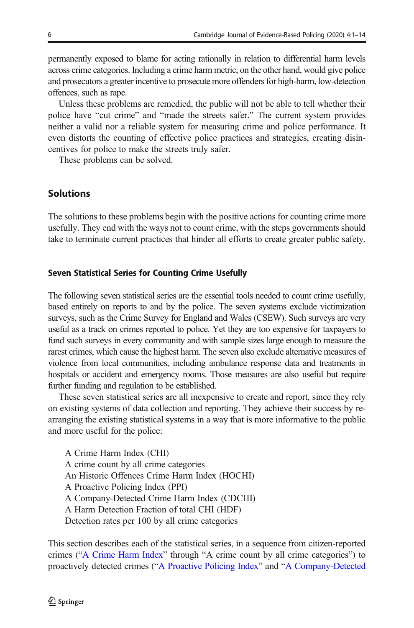permanently exposed to blame for acting rationally in relation to differential harm levels across crime categories. Including a crime harm metric, on the other hand, would give police and prosecutors a greater incentive to prosecute more offenders for high-harm, low-detection offences, such as rape.

Unless these problems are remedied, the public will not be able to tell whether their police have "cut crime" and "made the streets safer." The current system provides neither a valid nor a reliable system for measuring crime and police performance. It even distorts the counting of effective police practices and strategies, creating disincentives for police to make the streets truly safer.

These problems can be solved.

# Solutions

The solutions to these problems begin with the positive actions for counting crime more usefully. They end with the ways not to count crime, with the steps governments should take to terminate current practices that hinder all efforts to create greater public safety.

#### Seven Statistical Series for Counting Crime Usefully

The following seven statistical series are the essential tools needed to count crime usefully, based entirely on reports to and by the police. The seven systems exclude victimization surveys, such as the Crime Survey for England and Wales (CSEW). Such surveys are very useful as a track on crimes reported to police. Yet they are too expensive for taxpayers to fund such surveys in every community and with sample sizes large enough to measure the rarest crimes, which cause the highest harm. The seven also exclude alternative measures of violence from local communities, including ambulance response data and treatments in hospitals or accident and emergency rooms. Those measures are also useful but require further funding and regulation to be established.

These seven statistical series are all inexpensive to create and report, since they rely on existing systems of data collection and reporting. They achieve their success by rearranging the existing statistical systems in a way that is more informative to the public and more useful for the police:

A Crime Harm Index (CHI) A crime count by all crime categories An Historic Offences Crime Harm Index (HOCHI) A Proactive Policing Index (PPI) A Company-Detected Crime Harm Index (CDCHI) A Harm Detection Fraction of total CHI (HDF) Detection rates per 100 by all crime categories

This section describes each of the statistical series, in a sequence from citizen-reported crimes ("[A Crime Harm Index](#page-6-0)" through "A crime count by all crime categories") to proactively detected crimes ("[A Proactive Policing Index](#page-8-0)" and "[A Company-Detected](#page-9-0)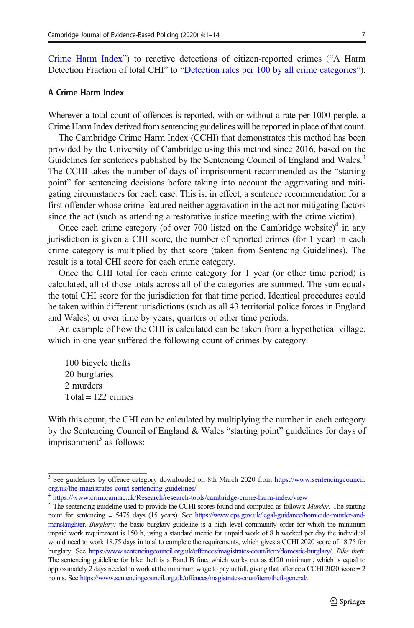<span id="page-6-0"></span>[Crime Harm Index](#page-9-0)") to reactive detections of citizen-reported crimes ("A Harm Detection Fraction of total CHI" to "[Detection rates per 100 by all crime categories](#page-10-0)").

### A Crime Harm Index

Wherever a total count of offences is reported, with or without a rate per 1000 people, a Crime Harm Index derived from sentencing guidelines will be reported in place of that count.

The Cambridge Crime Harm Index (CCHI) that demonstrates this method has been provided by the University of Cambridge using this method since 2016, based on the Guidelines for sentences published by the Sentencing Council of England and Wales.<sup>3</sup> The CCHI takes the number of days of imprisonment recommended as the "starting point" for sentencing decisions before taking into account the aggravating and mitigating circumstances for each case. This is, in effect, a sentence recommendation for a first offender whose crime featured neither aggravation in the act nor mitigating factors since the act (such as attending a restorative justice meeting with the crime victim).

Once each crime category (of over 700 listed on the Cambridge website)<sup>4</sup> in any jurisdiction is given a CHI score, the number of reported crimes (for 1 year) in each crime category is multiplied by that score (taken from Sentencing Guidelines). The result is a total CHI score for each crime category.

Once the CHI total for each crime category for 1 year (or other time period) is calculated, all of those totals across all of the categories are summed. The sum equals the total CHI score for the jurisdiction for that time period. Identical procedures could be taken within different jurisdictions (such as all 43 territorial police forces in England and Wales) or over time by years, quarters or other time periods.

An example of how the CHI is calculated can be taken from a hypothetical village, which in one year suffered the following count of crimes by category:

100 bicycle thefts 20 burglaries 2 murders  $Total = 122$  crimes

With this count, the CHI can be calculated by multiplying the number in each category by the Sentencing Council of England & Wales "starting point" guidelines for days of imprisonment<sup>5</sup> as follows:

<sup>&</sup>lt;sup>3</sup> See guidelines by offence category downloaded on 8th March 2020 from [https://www.sentencingcouncil.](https://doi.org/http://creativecommons.org/licenses/by/4.0/) [org.uk/the-magistrates-court-sentencing-guidelines/](https://doi.org/http://creativecommons.org/licenses/by/4.0/)

<sup>4</sup> [https://www.crim.cam.ac.uk/Research/research-tools/cambridge-crime-harm-index/view](https://doi.org/http://creativecommons.org/licenses/by/4.0/)

<sup>&</sup>lt;sup>5</sup> The sentencing guideline used to provide the CCHI scores found and computed as follows: Murder: The starting point for sentencing = 5475 days (15 years). See [https://www.cps.gov.uk/legal-guidance/homicide-murder-and](https://doi.org/http://creativecommons.org/licenses/by/4.0/)[manslaughter.](https://doi.org/http://creativecommons.org/licenses/by/4.0/) Burglary: the basic burglary guideline is a high level community order for which the minimum unpaid work requirement is 150 h, using a standard metric for unpaid work of 8 h worked per day the individual would need to work 18.75 days in total to complete the requirements, which gives a CCHI 2020 score of 18.75 for burglary. See [https://www.sentencingcouncil.org.uk/offences/magistrates-court/item/domestic-burglary/](https://doi.org/http://creativecommons.org/licenses/by/4.0/). Bike theft: The sentencing guideline for bike theft is a Band B fine, which works out as  $\pounds$ 120 minimum, which is equal to approximately 2 days needed to work at the minimum wage to pay in full, giving that offence a CCHI 2020 score  $= 2$ points. See [https://www.sentencingcouncil.org.uk/offences/magistrates-court/item/theft-general/.](https://doi.org/http://creativecommons.org/licenses/by/4.0/)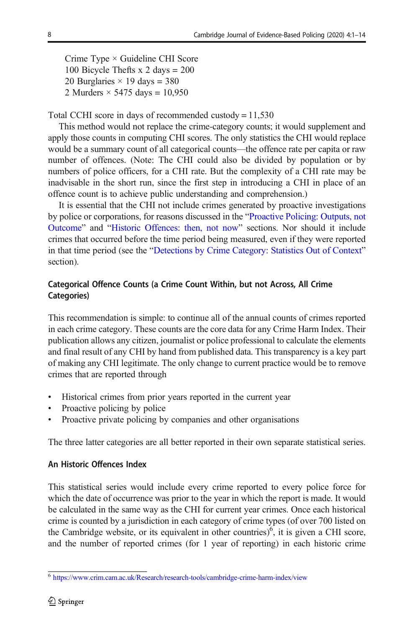Crime Type × Guideline CHI Score 100 Bicycle Thefts x 2 days = 200 20 Burglaries  $\times$  19 days = 380 2 Murders  $\times$  5475 days = 10,950

Total CCHI score in days of recommended custody = 11,530

This method would not replace the crime-category counts; it would supplement and apply those counts in computing CHI scores. The only statistics the CHI would replace would be a summary count of all categorical counts—the offence rate per capita or raw number of offences. (Note: The CHI could also be divided by population or by numbers of police officers, for a CHI rate. But the complexity of a CHI rate may be inadvisable in the short run, since the first step in introducing a CHI in place of an offence count is to achieve public understanding and comprehension.)

It is essential that the CHI not include crimes generated by proactive investigations by police or corporations, for reasons discussed in the "[Proactive Policing: Outputs, not](#page-3-0) [Outcome](#page-3-0)" and "[Historic Offences: then, not now](#page-4-0)" sections. Nor should it include crimes that occurred before the time period being measured, even if they were reported in that time period (see the "[Detections by Crime Category: Statistics Out of Context](#page-4-0)" section).

# Categorical Offence Counts (a Crime Count Within, but not Across, All Crime Categories)

This recommendation is simple: to continue all of the annual counts of crimes reported in each crime category. These counts are the core data for any Crime Harm Index. Their publication allows any citizen, journalist or police professional to calculate the elements and final result of any CHI by hand from published data. This transparency is a key part of making any CHI legitimate. The only change to current practice would be to remove crimes that are reported through

- Historical crimes from prior years reported in the current year
- Proactive policing by police
- Proactive private policing by companies and other organisations

The three latter categories are all better reported in their own separate statistical series.

### An Historic Offences Index

This statistical series would include every crime reported to every police force for which the date of occurrence was prior to the year in which the report is made. It would be calculated in the same way as the CHI for current year crimes. Once each historical crime is counted by a jurisdiction in each category of crime types (of over 700 listed on the Cambridge website, or its equivalent in other countries)<sup>6</sup>, it is given a CHI score, and the number of reported crimes (for 1 year of reporting) in each historic crime

<sup>6</sup> [https://www.crim.cam.ac.uk/Research/research-tools/cambridge-crime-harm-index/view](https://doi.org/http://creativecommons.org/licenses/by/4.0/)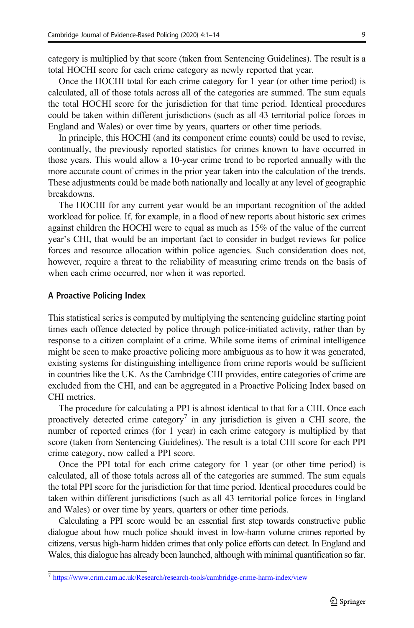<span id="page-8-0"></span>category is multiplied by that score (taken from Sentencing Guidelines). The result is a total HOCHI score for each crime category as newly reported that year.

Once the HOCHI total for each crime category for 1 year (or other time period) is calculated, all of those totals across all of the categories are summed. The sum equals the total HOCHI score for the jurisdiction for that time period. Identical procedures could be taken within different jurisdictions (such as all 43 territorial police forces in England and Wales) or over time by years, quarters or other time periods.

In principle, this HOCHI (and its component crime counts) could be used to revise, continually, the previously reported statistics for crimes known to have occurred in those years. This would allow a 10-year crime trend to be reported annually with the more accurate count of crimes in the prior year taken into the calculation of the trends. These adjustments could be made both nationally and locally at any level of geographic breakdowns.

The HOCHI for any current year would be an important recognition of the added workload for police. If, for example, in a flood of new reports about historic sex crimes against children the HOCHI were to equal as much as 15% of the value of the current year's CHI, that would be an important fact to consider in budget reviews for police forces and resource allocation within police agencies. Such consideration does not, however, require a threat to the reliability of measuring crime trends on the basis of when each crime occurred, nor when it was reported.

#### A Proactive Policing Index

This statistical series is computed by multiplying the sentencing guideline starting point times each offence detected by police through police-initiated activity, rather than by response to a citizen complaint of a crime. While some items of criminal intelligence might be seen to make proactive policing more ambiguous as to how it was generated, existing systems for distinguishing intelligence from crime reports would be sufficient in countries like the UK. As the Cambridge CHI provides, entire categories of crime are excluded from the CHI, and can be aggregated in a Proactive Policing Index based on CHI metrics.

The procedure for calculating a PPI is almost identical to that for a CHI. Once each proactively detected crime category<sup>7</sup> in any jurisdiction is given a CHI score, the number of reported crimes (for 1 year) in each crime category is multiplied by that score (taken from Sentencing Guidelines). The result is a total CHI score for each PPI crime category, now called a PPI score.

Once the PPI total for each crime category for 1 year (or other time period) is calculated, all of those totals across all of the categories are summed. The sum equals the total PPI score for the jurisdiction for that time period. Identical procedures could be taken within different jurisdictions (such as all 43 territorial police forces in England and Wales) or over time by years, quarters or other time periods.

Calculating a PPI score would be an essential first step towards constructive public dialogue about how much police should invest in low-harm volume crimes reported by citizens, versus high-harm hidden crimes that only police efforts can detect. In England and Wales, this dialogue has already been launched, although with minimal quantification so far.

<sup>7</sup> [https://www.crim.cam.ac.uk/Research/research-tools/cambridge-crime-harm-index/view](https://doi.org/http://creativecommons.org/licenses/by/4.0/)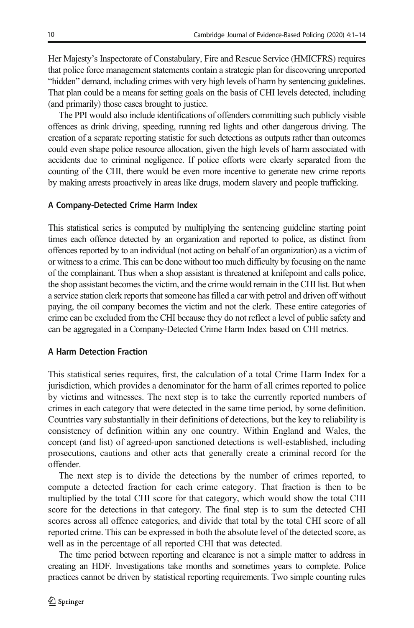<span id="page-9-0"></span>Her Majesty's Inspectorate of Constabulary, Fire and Rescue Service (HMICFRS) requires that police force management statements contain a strategic plan for discovering unreported "hidden" demand, including crimes with very high levels of harm by sentencing guidelines. That plan could be a means for setting goals on the basis of CHI levels detected, including (and primarily) those cases brought to justice.

The PPI would also include identifications of offenders committing such publicly visible offences as drink driving, speeding, running red lights and other dangerous driving. The creation of a separate reporting statistic for such detections as outputs rather than outcomes could even shape police resource allocation, given the high levels of harm associated with accidents due to criminal negligence. If police efforts were clearly separated from the counting of the CHI, there would be even more incentive to generate new crime reports by making arrests proactively in areas like drugs, modern slavery and people trafficking.

#### A Company-Detected Crime Harm Index

This statistical series is computed by multiplying the sentencing guideline starting point times each offence detected by an organization and reported to police, as distinct from offences reported by to an individual (not acting on behalf of an organization) as a victim of or witness to a crime. This can be done without too much difficulty by focusing on the name of the complainant. Thus when a shop assistant is threatened at knifepoint and calls police, the shop assistant becomes the victim, and the crime would remain in the CHI list. But when a service station clerk reports that someone has filled a car with petrol and driven off without paying, the oil company becomes the victim and not the clerk. These entire categories of crime can be excluded from the CHI because they do not reflect a level of public safety and can be aggregated in a Company-Detected Crime Harm Index based on CHI metrics.

#### A Harm Detection Fraction

This statistical series requires, first, the calculation of a total Crime Harm Index for a jurisdiction, which provides a denominator for the harm of all crimes reported to police by victims and witnesses. The next step is to take the currently reported numbers of crimes in each category that were detected in the same time period, by some definition. Countries vary substantially in their definitions of detections, but the key to reliability is consistency of definition within any one country. Within England and Wales, the concept (and list) of agreed-upon sanctioned detections is well-established, including prosecutions, cautions and other acts that generally create a criminal record for the offender.

The next step is to divide the detections by the number of crimes reported, to compute a detected fraction for each crime category. That fraction is then to be multiplied by the total CHI score for that category, which would show the total CHI score for the detections in that category. The final step is to sum the detected CHI scores across all offence categories, and divide that total by the total CHI score of all reported crime. This can be expressed in both the absolute level of the detected score, as well as in the percentage of all reported CHI that was detected.

The time period between reporting and clearance is not a simple matter to address in creating an HDF. Investigations take months and sometimes years to complete. Police practices cannot be driven by statistical reporting requirements. Two simple counting rules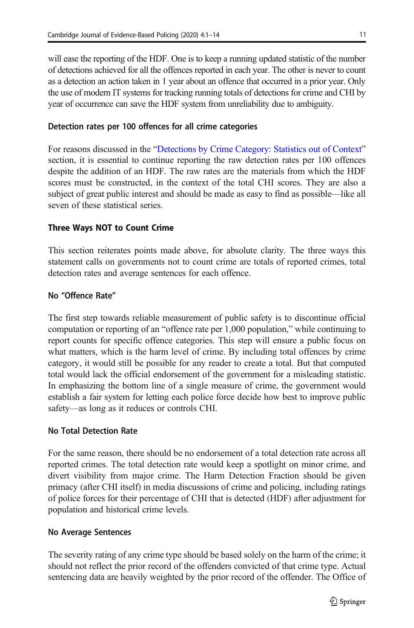<span id="page-10-0"></span>will ease the reporting of the HDF. One is to keep a running updated statistic of the number of detections achieved for all the offences reported in each year. The other is never to count as a detection an action taken in 1 year about an offence that occurred in a prior year. Only the use of modern IT systems for tracking running totals of detections for crime and CHI by year of occurrence can save the HDF system from unreliability due to ambiguity.

## Detection rates per 100 offences for all crime categories

For reasons discussed in the "[Detections by Crime Category: Statistics out of Context](#page-4-0)" section, it is essential to continue reporting the raw detection rates per 100 offences despite the addition of an HDF. The raw rates are the materials from which the HDF scores must be constructed, in the context of the total CHI scores. They are also a subject of great public interest and should be made as easy to find as possible—like all seven of these statistical series.

# The Ways Note that the Count Crime Count Crime Count Crime Count Crime Count Crime Count Crime Count Crime Count

This section reiterates points made above, for absolute clarity. The three ways this statement calls on governments not to count crime are totals of reported crimes, total detection rates and average sentences for each offence.

## No "Offence Rate"

The first step towards reliable measurement of public safety is to discontinue official computation or reporting of an "offence rate per 1,000 population," while continuing to report counts for specific offence categories. This step will ensure a public focus on what matters, which is the harm level of crime. By including total offences by crime category, it would still be possible for any reader to create a total. But that computed total would lack the official endorsement of the government for a misleading statistic. In emphasizing the bottom line of a single measure of crime, the government would establish a fair system for letting each police force decide how best to improve public safety—as long as it reduces or controls CHI.

## No Total Detection Rate

For the same reason, there should be no endorsement of a total detection rate across all reported crimes. The total detection rate would keep a spotlight on minor crime, and divert visibility from major crime. The Harm Detection Fraction should be given primacy (after CHI itself) in media discussions of crime and policing, including ratings of police forces for their percentage of CHI that is detected (HDF) after adjustment for population and historical crime levels.

## No Average Sentences

The severity rating of any crime type should be based solely on the harm of the crime; it should not reflect the prior record of the offenders convicted of that crime type. Actual sentencing data are heavily weighted by the prior record of the offender. The Office of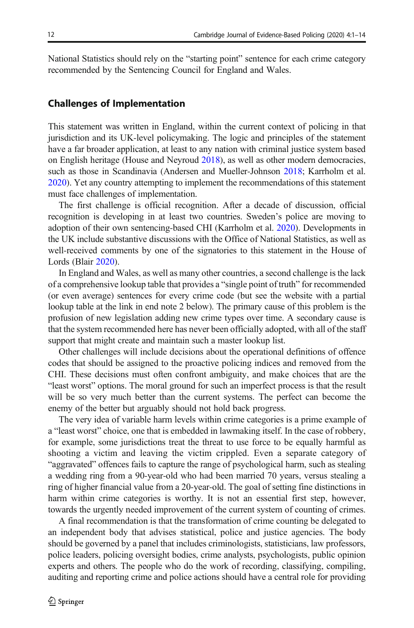National Statistics should rely on the "starting point" sentence for each crime category recommended by the Sentencing Council for England and Wales.

# Challenges of Implementation

This statement was written in England, within the current context of policing in that jurisdiction and its UK-level policymaking. The logic and principles of the statement have a far broader application, at least to any nation with criminal justice system based on English heritage (House and Neyroud [2018\)](#page-13-0), as well as other modern democracies, such as those in Scandinavia (Andersen and Mueller-Johnson [2018;](#page-12-0) Karrholm et al. [2020\)](#page-13-0). Yet any country attempting to implement the recommendations of this statement must face challenges of implementation.

The first challenge is official recognition. After a decade of discussion, official recognition is developing in at least two countries. Sweden's police are moving to adoption of their own sentencing-based CHI (Karrholm et al. [2020](#page-13-0)). Developments in the UK include substantive discussions with the Office of National Statistics, as well as well-received comments by one of the signatories to this statement in the House of Lords (Blair [2020](#page-12-0)).

In England and Wales, as well as many other countries, a second challenge is the lack of a comprehensive lookup table that provides a "single point of truth" for recommended (or even average) sentences for every crime code (but see the website with a partial lookup table at the link in end note 2 below). The primary cause of this problem is the profusion of new legislation adding new crime types over time. A secondary cause is that the system recommended here has never been officially adopted, with all of the staff support that might create and maintain such a master lookup list.

Other challenges will include decisions about the operational definitions of offence codes that should be assigned to the proactive policing indices and removed from the CHI. These decisions must often confront ambiguity, and make choices that are the "least worst" options. The moral ground for such an imperfect process is that the result will be so very much better than the current systems. The perfect can become the enemy of the better but arguably should not hold back progress.

The very idea of variable harm levels within crime categories is a prime example of a "least worst" choice, one that is embedded in lawmaking itself. In the case of robbery, for example, some jurisdictions treat the threat to use force to be equally harmful as shooting a victim and leaving the victim crippled. Even a separate category of "aggravated" offences fails to capture the range of psychological harm, such as stealing a wedding ring from a 90-year-old who had been married 70 years, versus stealing a ring of higher financial value from a 20-year-old. The goal of setting fine distinctions in harm within crime categories is worthy. It is not an essential first step, however, towards the urgently needed improvement of the current system of counting of crimes.

A final recommendation is that the transformation of crime counting be delegated to an independent body that advises statistical, police and justice agencies. The body should be governed by a panel that includes criminologists, statisticians, law professors, police leaders, policing oversight bodies, crime analysts, psychologists, public opinion experts and others. The people who do the work of recording, classifying, compiling, auditing and reporting crime and police actions should have a central role for providing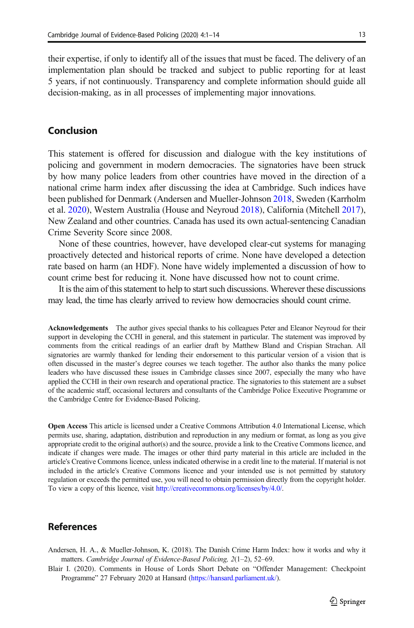<span id="page-12-0"></span>their expertise, if only to identify all of the issues that must be faced. The delivery of an implementation plan should be tracked and subject to public reporting for at least 5 years, if not continuously. Transparency and complete information should guide all decision-making, as in all processes of implementing major innovations.

# Conclusion

This statement is offered for discussion and dialogue with the key institutions of policing and government in modern democracies. The signatories have been struck by how many police leaders from other countries have moved in the direction of a national crime harm index after discussing the idea at Cambridge. Such indices have been published for Denmark (Andersen and Mueller-Johnson 2018, Sweden (Karrholm et al. [2020\)](#page-13-0), Western Australia (House and Neyroud [2018](#page-13-0)), California (Mitchell [2017\)](#page-13-0), New Zealand and other countries. Canada has used its own actual-sentencing Canadian Crime Severity Score since 2008.

None of these countries, however, have developed clear-cut systems for managing proactively detected and historical reports of crime. None have developed a detection rate based on harm (an HDF). None have widely implemented a discussion of how to count crime best for reducing it. None have discussed how not to count crime.

It is the aim of this statement to help to start such discussions. Wherever these discussions may lead, the time has clearly arrived to review how democracies should count crime.

Acknowledgements The author gives special thanks to his colleagues Peter and Eleanor Neyroud for their support in developing the CCHI in general, and this statement in particular. The statement was improved by comments from the critical readings of an earlier draft by Matthew Bland and Crispian Strachan. All signatories are warmly thanked for lending their endorsement to this particular version of a vision that is often discussed in the master's degree courses we teach together. The author also thanks the many police leaders who have discussed these issues in Cambridge classes since 2007, especially the many who have applied the CCHI in their own research and operational practice. The signatories to this statement are a subset of the academic staff, occasional lecturers and consultants of the Cambridge Police Executive Programme or the Cambridge Centre for Evidence-Based Policing.

Open Access This article is licensed under a Creative Commons Attribution 4.0 International License, which permits use, sharing, adaptation, distribution and reproduction in any medium or format, as long as you give appropriate credit to the original author(s) and the source, provide a link to the Creative Commons licence, and indicate if changes were made. The images or other third party material in this article are included in the article's Creative Commons licence, unless indicated otherwise in a credit line to the material. If material is not included in the article's Creative Commons licence and your intended use is not permitted by statutory regulation or exceeds the permitted use, you will need to obtain permission directly from the copyright holder. To view a copy of this licence, visit [http://creativecommons.org/licenses/by/4.0/](https://doi.org/http://creativecommons.org/licenses/by/4.0/).

## **References**

- Andersen, H. A., & Mueller-Johnson, K. (2018). The Danish Crime Harm Index: how it works and why it matters. Cambridge Journal of Evidence-Based Policing, 2(1–2), 52–69.
- Blair I. (2020). Comments in House of Lords Short Debate on "Offender Management: Checkpoint Programme" 27 February 2020 at Hansard ([https://hansard.parliament.uk/\)](https://doi.org/http://creativecommons.org/licenses/by/4.0/).